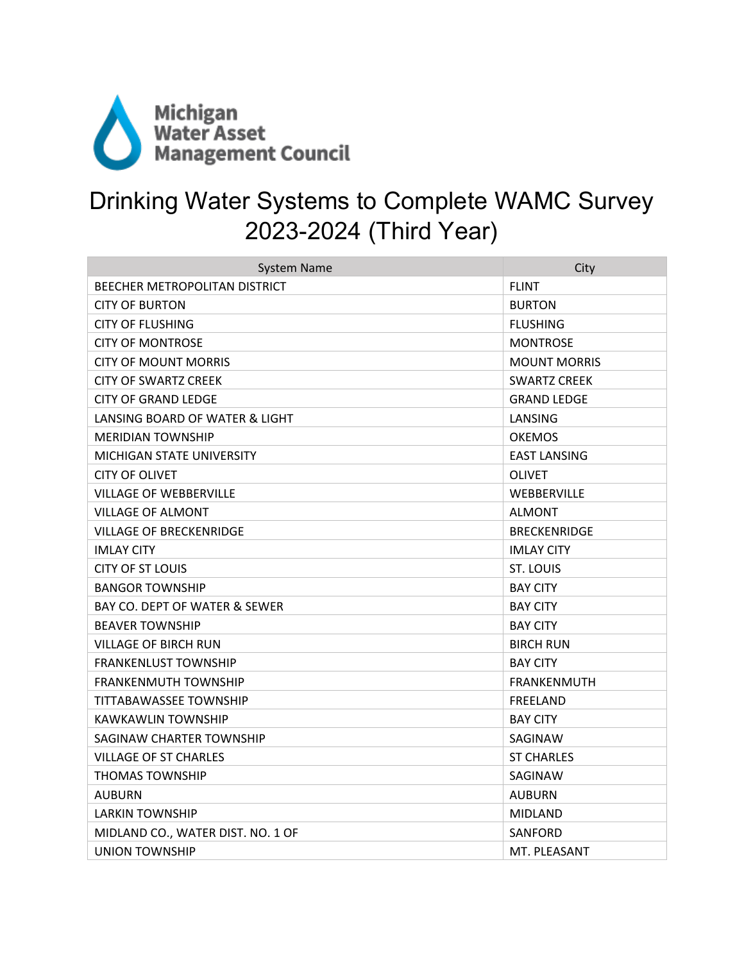

## Drinking Water Systems to Complete WAMC Survey 2023-2024 (Third Year)

| <b>System Name</b>                | City                |
|-----------------------------------|---------------------|
| BEECHER METROPOLITAN DISTRICT     | <b>FLINT</b>        |
| <b>CITY OF BURTON</b>             | <b>BURTON</b>       |
| CITY OF FLUSHING                  | <b>FLUSHING</b>     |
| <b>CITY OF MONTROSE</b>           | <b>MONTROSE</b>     |
| <b>CITY OF MOUNT MORRIS</b>       | <b>MOUNT MORRIS</b> |
| CITY OF SWARTZ CREEK              | <b>SWARTZ CREEK</b> |
| <b>CITY OF GRAND LEDGE</b>        | <b>GRAND LEDGE</b>  |
| LANSING BOARD OF WATER & LIGHT    | LANSING             |
| <b>MERIDIAN TOWNSHIP</b>          | <b>OKEMOS</b>       |
| MICHIGAN STATE UNIVERSITY         | <b>EAST LANSING</b> |
| <b>CITY OF OLIVET</b>             | <b>OLIVET</b>       |
| VILLAGE OF WEBBERVILLE            | WEBBERVILLE         |
| <b>VILLAGE OF ALMONT</b>          | <b>ALMONT</b>       |
| <b>VILLAGE OF BRECKENRIDGE</b>    | <b>BRECKENRIDGE</b> |
| <b>IMLAY CITY</b>                 | <b>IMLAY CITY</b>   |
| CITY OF ST LOUIS                  | <b>ST. LOUIS</b>    |
| <b>BANGOR TOWNSHIP</b>            | <b>BAY CITY</b>     |
| BAY CO. DEPT OF WATER & SEWER     | <b>BAY CITY</b>     |
| <b>BEAVER TOWNSHIP</b>            | <b>BAY CITY</b>     |
| <b>VILLAGE OF BIRCH RUN</b>       | <b>BIRCH RUN</b>    |
| <b>FRANKENLUST TOWNSHIP</b>       | <b>BAY CITY</b>     |
| <b>FRANKENMUTH TOWNSHIP</b>       | <b>FRANKENMUTH</b>  |
| TITTABAWASSEE TOWNSHIP            | <b>FREELAND</b>     |
| KAWKAWLIN TOWNSHIP                | <b>BAY CITY</b>     |
| SAGINAW CHARTER TOWNSHIP          | SAGINAW             |
| VILLAGE OF ST CHARLES             | <b>ST CHARLES</b>   |
| <b>THOMAS TOWNSHIP</b>            | SAGINAW             |
| AUBURN                            | <b>AUBURN</b>       |
| <b>LARKIN TOWNSHIP</b>            | <b>MIDLAND</b>      |
| MIDLAND CO., WATER DIST. NO. 1 OF | SANFORD             |
| <b>UNION TOWNSHIP</b>             | MT. PLEASANT        |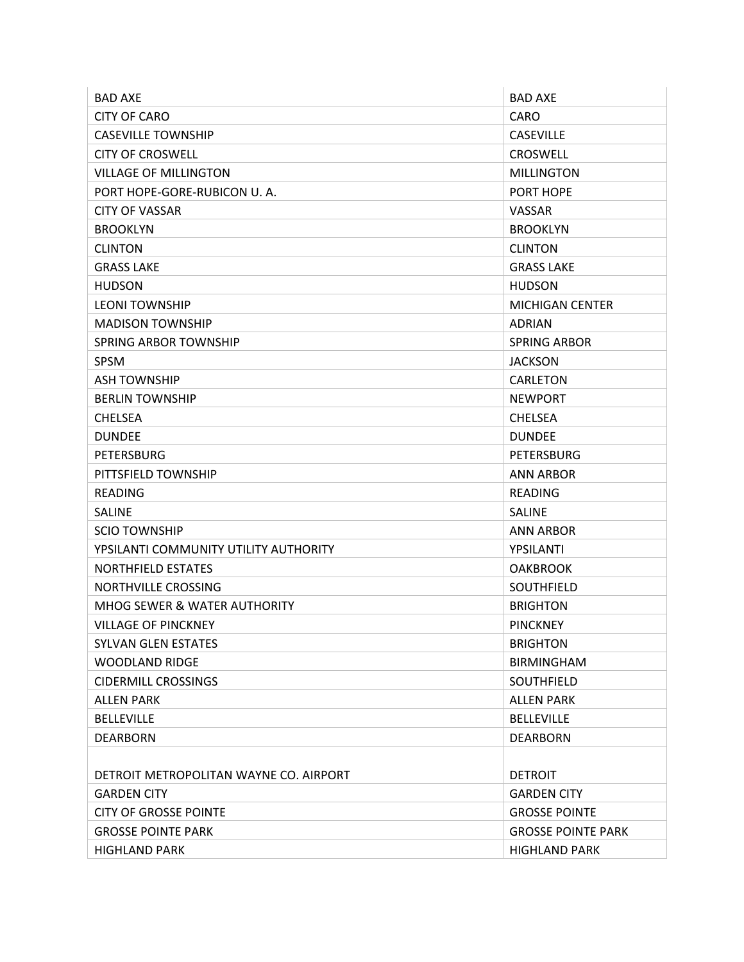| <b>BAD AXE</b>                         | <b>BAD AXE</b>            |
|----------------------------------------|---------------------------|
| <b>CITY OF CARO</b>                    | <b>CARO</b>               |
| <b>CASEVILLE TOWNSHIP</b>              | <b>CASEVILLE</b>          |
| <b>CITY OF CROSWELL</b>                | <b>CROSWELL</b>           |
| <b>VILLAGE OF MILLINGTON</b>           | <b>MILLINGTON</b>         |
| PORT HOPE-GORE-RUBICON U.A.            | PORT HOPE                 |
| <b>CITY OF VASSAR</b>                  | <b>VASSAR</b>             |
| <b>BROOKLYN</b>                        | <b>BROOKLYN</b>           |
| <b>CLINTON</b>                         | <b>CLINTON</b>            |
| <b>GRASS LAKE</b>                      | <b>GRASS LAKE</b>         |
| <b>HUDSON</b>                          | <b>HUDSON</b>             |
| <b>LEONI TOWNSHIP</b>                  | <b>MICHIGAN CENTER</b>    |
| <b>MADISON TOWNSHIP</b>                | ADRIAN                    |
| <b>SPRING ARBOR TOWNSHIP</b>           | <b>SPRING ARBOR</b>       |
| <b>SPSM</b>                            | <b>JACKSON</b>            |
| <b>ASH TOWNSHIP</b>                    | <b>CARLETON</b>           |
| <b>BERLIN TOWNSHIP</b>                 | <b>NEWPORT</b>            |
| <b>CHELSEA</b>                         | <b>CHELSEA</b>            |
| <b>DUNDEE</b>                          | <b>DUNDEE</b>             |
| <b>PETERSBURG</b>                      | <b>PETERSBURG</b>         |
| PITTSFIELD TOWNSHIP                    | ANN ARBOR                 |
| <b>READING</b>                         | READING                   |
| <b>SALINE</b>                          | <b>SALINE</b>             |
| <b>SCIO TOWNSHIP</b>                   | <b>ANN ARBOR</b>          |
| YPSILANTI COMMUNITY UTILITY AUTHORITY  | YPSILANTI                 |
| <b>NORTHFIELD ESTATES</b>              | <b>OAKBROOK</b>           |
| NORTHVILLE CROSSING                    | SOUTHFIELD                |
| MHOG SEWER & WATER AUTHORITY           | <b>BRIGHTON</b>           |
| <b>VILLAGE OF PINCKNEY</b>             | <b>PINCKNEY</b>           |
| <b>SYLVAN GLEN ESTATES</b>             | <b>BRIGHTON</b>           |
| <b>WOODLAND RIDGE</b>                  | <b>BIRMINGHAM</b>         |
| <b>CIDERMILL CROSSINGS</b>             | <b>SOUTHFIELD</b>         |
| <b>ALLEN PARK</b>                      | <b>ALLEN PARK</b>         |
| <b>BELLEVILLE</b>                      | <b>BELLEVILLE</b>         |
| <b>DEARBORN</b>                        | <b>DEARBORN</b>           |
|                                        |                           |
| DETROIT METROPOLITAN WAYNE CO. AIRPORT | <b>DETROIT</b>            |
| <b>GARDEN CITY</b>                     | <b>GARDEN CITY</b>        |
| <b>CITY OF GROSSE POINTE</b>           | <b>GROSSE POINTE</b>      |
| <b>GROSSE POINTE PARK</b>              | <b>GROSSE POINTE PARK</b> |
| <b>HIGHLAND PARK</b>                   | <b>HIGHLAND PARK</b>      |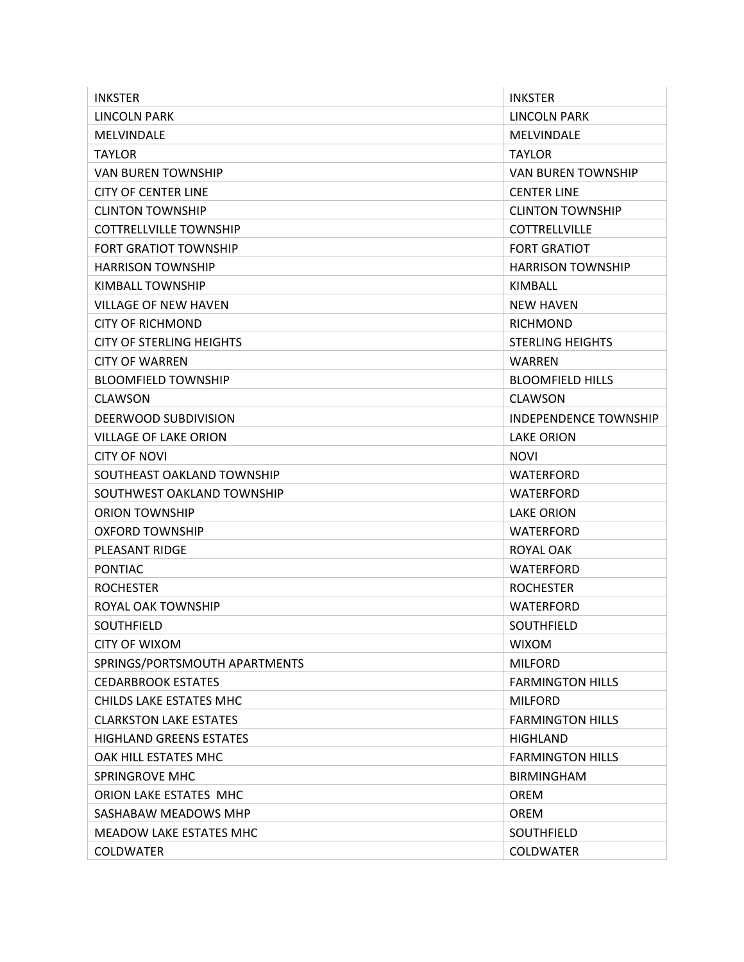| <b>INKSTER</b>                 | <b>INKSTER</b>           |
|--------------------------------|--------------------------|
| LINCOLN PARK                   | LINCOLN PARK             |
| MELVINDALE                     | MELVINDALE               |
| <b>TAYLOR</b>                  | <b>TAYLOR</b>            |
| VAN BUREN TOWNSHIP             | VAN BUREN TOWNSHIP       |
| <b>CITY OF CENTER LINE</b>     | <b>CENTER LINE</b>       |
| CLINTON TOWNSHIP               | <b>CLINTON TOWNSHIP</b>  |
| <b>COTTRELLVILLE TOWNSHIP</b>  | <b>COTTRELLVILLE</b>     |
| <b>FORT GRATIOT TOWNSHIP</b>   | <b>FORT GRATIOT</b>      |
| <b>HARRISON TOWNSHIP</b>       | <b>HARRISON TOWNSHIP</b> |
| KIMBALL TOWNSHIP               | KIMBALL                  |
| <b>VILLAGE OF NEW HAVEN</b>    | <b>NEW HAVEN</b>         |
| <b>CITY OF RICHMOND</b>        | <b>RICHMOND</b>          |
| CITY OF STERLING HEIGHTS       | <b>STERLING HEIGHTS</b>  |
| <b>CITY OF WARREN</b>          | <b>WARREN</b>            |
| <b>BLOOMFIELD TOWNSHIP</b>     | <b>BLOOMFIELD HILLS</b>  |
| <b>CLAWSON</b>                 | <b>CLAWSON</b>           |
| DEERWOOD SUBDIVISION           | INDEPENDENCE TOWNSHIP    |
| <b>VILLAGE OF LAKE ORION</b>   | <b>LAKE ORION</b>        |
| <b>CITY OF NOVI</b>            | <b>NOVI</b>              |
| SOUTHEAST OAKLAND TOWNSHIP     | WATERFORD                |
| SOUTHWEST OAKLAND TOWNSHIP     | <b>WATERFORD</b>         |
| <b>ORION TOWNSHIP</b>          | LAKE ORION               |
| OXFORD TOWNSHIP                | WATERFORD                |
| PLEASANT RIDGE                 | ROYAL OAK                |
| <b>PONTIAC</b>                 | <b>WATERFORD</b>         |
| <b>ROCHESTER</b>               | <b>ROCHESTER</b>         |
| ROYAL OAK TOWNSHIP             | <b>WATERFORD</b>         |
| <b>SOUTHFIELD</b>              | <b>SOUTHFIELD</b>        |
| <b>CITY OF WIXOM</b>           | <b>WIXOM</b>             |
| SPRINGS/PORTSMOUTH APARTMENTS  | <b>MILFORD</b>           |
| <b>CEDARBROOK ESTATES</b>      | <b>FARMINGTON HILLS</b>  |
| CHILDS LAKE ESTATES MHC        | <b>MILFORD</b>           |
| <b>CLARKSTON LAKE ESTATES</b>  | <b>FARMINGTON HILLS</b>  |
| <b>HIGHLAND GREENS ESTATES</b> | <b>HIGHLAND</b>          |
| OAK HILL ESTATES MHC           | <b>FARMINGTON HILLS</b>  |
| <b>SPRINGROVE MHC</b>          | <b>BIRMINGHAM</b>        |
| ORION LAKE ESTATES MHC         | <b>OREM</b>              |
| SASHABAW MEADOWS MHP           | <b>OREM</b>              |
| MEADOW LAKE ESTATES MHC        | SOUTHFIELD               |
| <b>COLDWATER</b>               | <b>COLDWATER</b>         |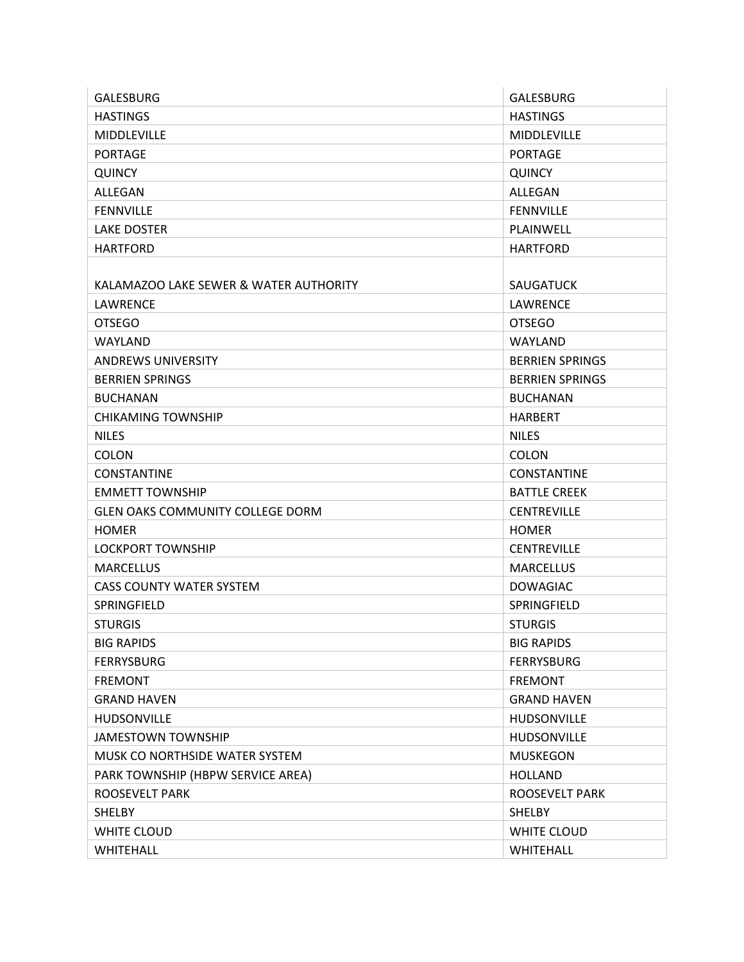| <b>GALESBURG</b>                        | <b>GALESBURG</b>       |
|-----------------------------------------|------------------------|
| <b>HASTINGS</b>                         | <b>HASTINGS</b>        |
| <b>MIDDLEVILLE</b>                      | <b>MIDDLEVILLE</b>     |
| PORTAGE                                 | <b>PORTAGE</b>         |
| <b>QUINCY</b>                           | <b>QUINCY</b>          |
| ALLEGAN                                 | ALLEGAN                |
| <b>FENNVILLE</b>                        | <b>FENNVILLE</b>       |
| <b>LAKE DOSTER</b>                      | PLAINWELL              |
| <b>HARTFORD</b>                         | <b>HARTFORD</b>        |
|                                         |                        |
| KALAMAZOO LAKE SEWER & WATER AUTHORITY  | <b>SAUGATUCK</b>       |
| LAWRENCE                                | LAWRENCE               |
| <b>OTSEGO</b>                           | <b>OTSEGO</b>          |
| WAYLAND                                 | WAYLAND                |
| <b>ANDREWS UNIVERSITY</b>               | <b>BERRIEN SPRINGS</b> |
| <b>BERRIEN SPRINGS</b>                  | <b>BERRIEN SPRINGS</b> |
| <b>BUCHANAN</b>                         | <b>BUCHANAN</b>        |
| <b>CHIKAMING TOWNSHIP</b>               | <b>HARBERT</b>         |
| <b>NILES</b>                            | <b>NILES</b>           |
| <b>COLON</b>                            | <b>COLON</b>           |
| <b>CONSTANTINE</b>                      | <b>CONSTANTINE</b>     |
| <b>EMMETT TOWNSHIP</b>                  | <b>BATTLE CREEK</b>    |
| <b>GLEN OAKS COMMUNITY COLLEGE DORM</b> | <b>CENTREVILLE</b>     |
| <b>HOMER</b>                            | <b>HOMER</b>           |
| <b>LOCKPORT TOWNSHIP</b>                | <b>CENTREVILLE</b>     |
| <b>MARCELLUS</b>                        | <b>MARCELLUS</b>       |
| <b>CASS COUNTY WATER SYSTEM</b>         | <b>DOWAGIAC</b>        |
| SPRINGFIELD                             | SPRINGFIELD            |
| <b>STURGIS</b>                          | <b>STURGIS</b>         |
| <b>BIG RAPIDS</b>                       | <b>BIG RAPIDS</b>      |
| <b>FERRYSBURG</b>                       | <b>FERRYSBURG</b>      |
| <b>FREMONT</b>                          | <b>FREMONT</b>         |
| <b>GRAND HAVEN</b>                      | <b>GRAND HAVEN</b>     |
| <b>HUDSONVILLE</b>                      | <b>HUDSONVILLE</b>     |
| <b>JAMESTOWN TOWNSHIP</b>               | HUDSONVILLE            |
| MUSK CO NORTHSIDE WATER SYSTEM          | <b>MUSKEGON</b>        |
| PARK TOWNSHIP (HBPW SERVICE AREA)       | <b>HOLLAND</b>         |
| ROOSEVELT PARK                          | <b>ROOSEVELT PARK</b>  |
| <b>SHELBY</b>                           | <b>SHELBY</b>          |
| WHITE CLOUD                             | WHITE CLOUD            |
| WHITEHALL                               | WHITEHALL              |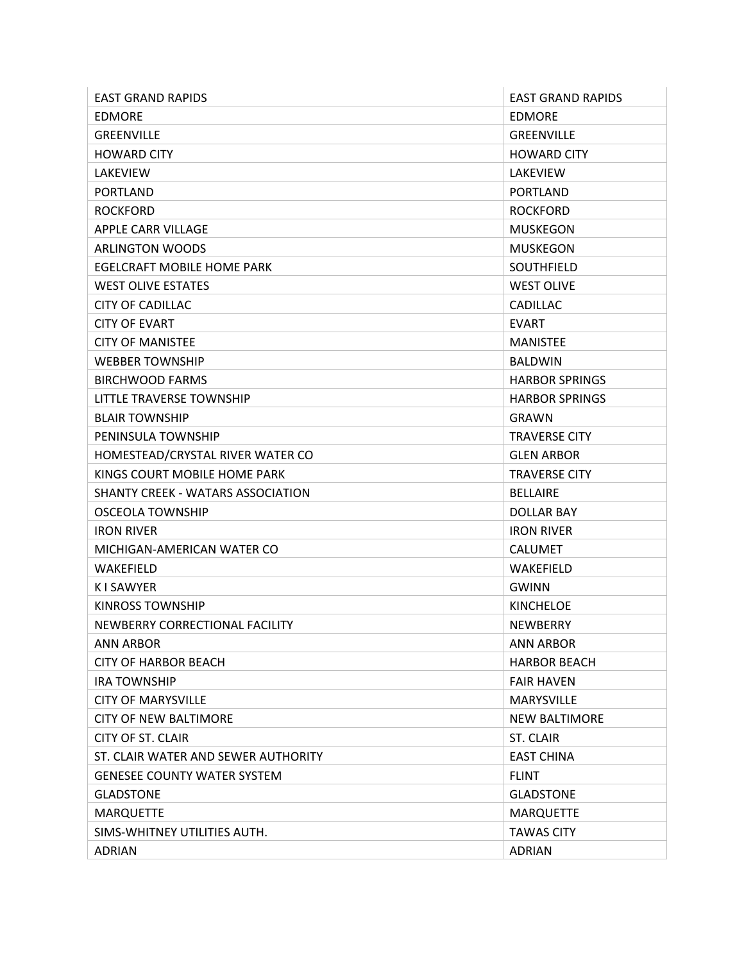| <b>EAST GRAND RAPIDS</b>            | <b>EAST GRAND RAPIDS</b> |
|-------------------------------------|--------------------------|
| <b>EDMORE</b>                       | <b>EDMORE</b>            |
| <b>GREENVILLE</b>                   | <b>GREENVILLE</b>        |
| <b>HOWARD CITY</b>                  | <b>HOWARD CITY</b>       |
| LAKEVIEW                            | LAKEVIEW                 |
| <b>PORTLAND</b>                     | <b>PORTLAND</b>          |
| <b>ROCKFORD</b>                     | <b>ROCKFORD</b>          |
| APPLE CARR VILLAGE                  | <b>MUSKEGON</b>          |
| <b>ARLINGTON WOODS</b>              | <b>MUSKEGON</b>          |
| <b>EGELCRAFT MOBILE HOME PARK</b>   | <b>SOUTHFIELD</b>        |
| <b>WEST OLIVE ESTATES</b>           | <b>WEST OLIVE</b>        |
| <b>CITY OF CADILLAC</b>             | CADILLAC                 |
| <b>CITY OF EVART</b>                | <b>EVART</b>             |
| <b>CITY OF MANISTEE</b>             | <b>MANISTEE</b>          |
| <b>WEBBER TOWNSHIP</b>              | <b>BALDWIN</b>           |
| <b>BIRCHWOOD FARMS</b>              | <b>HARBOR SPRINGS</b>    |
| LITTLE TRAVERSE TOWNSHIP            | <b>HARBOR SPRINGS</b>    |
| <b>BLAIR TOWNSHIP</b>               | <b>GRAWN</b>             |
| PENINSULA TOWNSHIP                  | <b>TRAVERSE CITY</b>     |
| HOMESTEAD/CRYSTAL RIVER WATER CO    | <b>GLEN ARBOR</b>        |
| KINGS COURT MOBILE HOME PARK        | <b>TRAVERSE CITY</b>     |
| SHANTY CREEK - WATARS ASSOCIATION   | <b>BELLAIRE</b>          |
| OSCEOLA TOWNSHIP                    | DOLLAR BAY               |
| <b>IRON RIVER</b>                   | <b>IRON RIVER</b>        |
| MICHIGAN-AMERICAN WATER CO          | <b>CALUMET</b>           |
| WAKEFIELD                           | WAKEFIELD                |
| <b>KISAWYER</b>                     | <b>GWINN</b>             |
| <b>KINROSS TOWNSHIP</b>             | <b>KINCHELOE</b>         |
| NEWBERRY CORRECTIONAL FACILITY      | <b>NEWBERRY</b>          |
| <b>ANN ARBOR</b>                    | <b>ANN ARBOR</b>         |
| <b>CITY OF HARBOR BEACH</b>         | <b>HARBOR BEACH</b>      |
| <b>IRA TOWNSHIP</b>                 | <b>FAIR HAVEN</b>        |
| <b>CITY OF MARYSVILLE</b>           | <b>MARYSVILLE</b>        |
| <b>CITY OF NEW BALTIMORE</b>        | <b>NEW BALTIMORE</b>     |
| <b>CITY OF ST. CLAIR</b>            | <b>ST. CLAIR</b>         |
| ST. CLAIR WATER AND SEWER AUTHORITY | <b>EAST CHINA</b>        |
| <b>GENESEE COUNTY WATER SYSTEM</b>  | <b>FLINT</b>             |
| <b>GLADSTONE</b>                    | <b>GLADSTONE</b>         |
| <b>MARQUETTE</b>                    | <b>MARQUETTE</b>         |
| SIMS-WHITNEY UTILITIES AUTH.        | <b>TAWAS CITY</b>        |
| <b>ADRIAN</b>                       | <b>ADRIAN</b>            |